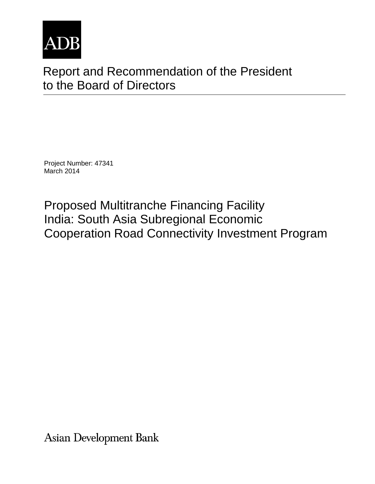

# Report and Recommendation of the President to the Board of Directors

Project Number: 47341 March 2014

Proposed Multitranche Financing Facility India: South Asia Subregional Economic Cooperation Road Connectivity Investment Program

**Asian Development Bank**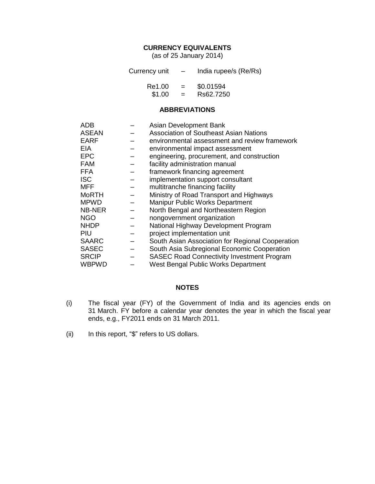## **CURRENCY EQUIVALENTS**

(as of 25 January 2014)

| Currency unit | $\overline{\phantom{0}}$ | India rupee/s (Re/Rs) |
|---------------|--------------------------|-----------------------|
| Re1.00        | $=$                      | \$0.01594             |
| \$1.00        | $=$                      | Rs62.7250             |

#### **ABBREVIATIONS**

| <b>ADB</b>   | Asian Development Bank                            |
|--------------|---------------------------------------------------|
| <b>ASEAN</b> | <b>Association of Southeast Asian Nations</b>     |
| <b>EARF</b>  | environmental assessment and review framework     |
| <b>EIA</b>   | environmental impact assessment                   |
| <b>EPC</b>   | engineering, procurement, and construction        |
| <b>FAM</b>   | facility administration manual                    |
| <b>FFA</b>   | framework financing agreement                     |
| <b>ISC</b>   | implementation support consultant                 |
| <b>MFF</b>   | multitranche financing facility                   |
| <b>MoRTH</b> | Ministry of Road Transport and Highways           |
| <b>MPWD</b>  | <b>Manipur Public Works Department</b>            |
| NB-NER       | North Bengal and Northeastern Region              |
| <b>NGO</b>   | nongovernment organization                        |
| <b>NHDP</b>  | National Highway Development Program              |
| PIU          | project implementation unit                       |
| <b>SAARC</b> | South Asian Association for Regional Cooperation  |
| <b>SASEC</b> | South Asia Subregional Economic Cooperation       |
| <b>SRCIP</b> | <b>SASEC Road Connectivity Investment Program</b> |
| WBPWD        | West Bengal Public Works Department               |

## **NOTES**

- (i) The fiscal year (FY) of the Government of India and its agencies ends on 31 March. FY before a calendar year denotes the year in which the fiscal year ends, e.g., FY2011 ends on 31 March 2011.
- (ii) In this report, "\$" refers to US dollars.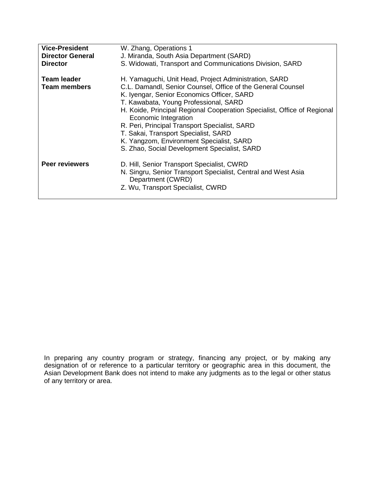| <b>Vice-President</b><br><b>Director General</b> | W. Zhang, Operations 1<br>J. Miranda, South Asia Department (SARD)                                                                                                                                                                                                                                                                                                                                                                                                                                  |
|--------------------------------------------------|-----------------------------------------------------------------------------------------------------------------------------------------------------------------------------------------------------------------------------------------------------------------------------------------------------------------------------------------------------------------------------------------------------------------------------------------------------------------------------------------------------|
| <b>Director</b>                                  | S. Widowati, Transport and Communications Division, SARD                                                                                                                                                                                                                                                                                                                                                                                                                                            |
| <b>Team leader</b><br><b>Team members</b>        | H. Yamaguchi, Unit Head, Project Administration, SARD<br>C.L. Damandl, Senior Counsel, Office of the General Counsel<br>K. Iyengar, Senior Economics Officer, SARD<br>T. Kawabata, Young Professional, SARD<br>H. Koide, Principal Regional Cooperation Specialist, Office of Regional<br>Economic Integration<br>R. Peri, Principal Transport Specialist, SARD<br>T. Sakai, Transport Specialist, SARD<br>K. Yangzom, Environment Specialist, SARD<br>S. Zhao, Social Development Specialist, SARD |
| <b>Peer reviewers</b>                            | D. Hill, Senior Transport Specialist, CWRD<br>N. Singru, Senior Transport Specialist, Central and West Asia<br>Department (CWRD)<br>Z. Wu, Transport Specialist, CWRD                                                                                                                                                                                                                                                                                                                               |

In preparing any country program or strategy, financing any project, or by making any designation of or reference to a particular territory or geographic area in this document, the Asian Development Bank does not intend to make any judgments as to the legal or other status of any territory or area.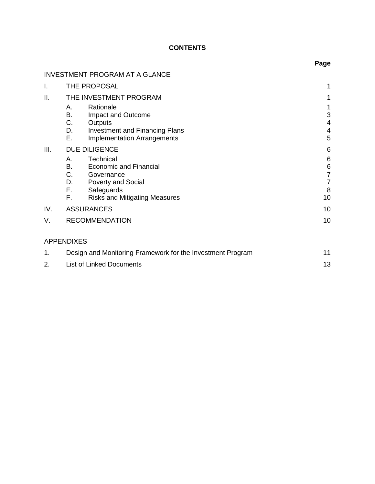# **CONTENTS**

|      |                                                                                                                                                                     | Page                                                      |
|------|---------------------------------------------------------------------------------------------------------------------------------------------------------------------|-----------------------------------------------------------|
|      | <b>INVESTMENT PROGRAM AT A GLANCE</b>                                                                                                                               |                                                           |
| I.   | THE PROPOSAL                                                                                                                                                        | 1                                                         |
| ΙΙ.  | THE INVESTMENT PROGRAM                                                                                                                                              | 1                                                         |
|      | Rationale<br>Α.<br>В.<br>Impact and Outcome<br>C.<br>Outputs<br>D.<br><b>Investment and Financing Plans</b><br>Е.<br><b>Implementation Arrangements</b>             | 1<br>3<br>4<br>4<br>5                                     |
| III. | DUE DILIGENCE                                                                                                                                                       | 6                                                         |
|      | Technical<br>А.<br><b>Economic and Financial</b><br>B.<br>C. Governance<br>D. Poverty and Social<br>Е.<br>Safeguards<br>F.,<br><b>Risks and Mitigating Measures</b> | 6<br>$\,6$<br>$\overline{7}$<br>$\overline{7}$<br>8<br>10 |
| IV.  | <b>ASSURANCES</b>                                                                                                                                                   | 10                                                        |
| V.   | <b>RECOMMENDATION</b>                                                                                                                                               | 10                                                        |
|      | <b>APPENDIXES</b>                                                                                                                                                   |                                                           |
| 1.   | Design and Monitoring Framework for the Investment Program                                                                                                          | 11                                                        |
| 2.   | <b>List of Linked Documents</b>                                                                                                                                     | 13                                                        |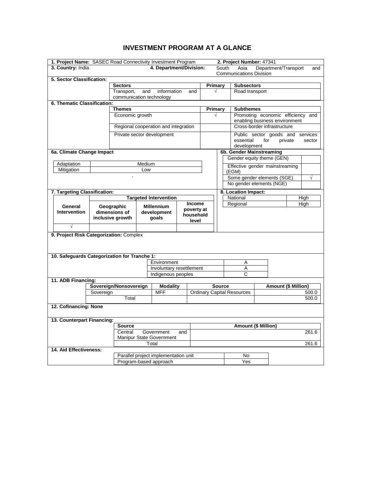# **INVESTMENT PROGRAM AT A GLANCE**

<span id="page-5-0"></span>

| 1. Project Name: SASEC Road Connectivity Investment Program |               |                                        |        |                                                |                                |               |                            |                                              | 2. Project Number: 47341                                     |     |                            |           |
|-------------------------------------------------------------|---------------|----------------------------------------|--------|------------------------------------------------|--------------------------------|---------------|----------------------------|----------------------------------------------|--------------------------------------------------------------|-----|----------------------------|-----------|
| 3. Country: India                                           |               |                                        |        | 4. Department/Division:                        |                                |               |                            | Department/Transport<br>South<br>Asia<br>and |                                                              |     |                            |           |
|                                                             |               |                                        |        |                                                | <b>Communications Division</b> |               |                            |                                              |                                                              |     |                            |           |
| 5. Sector Classification:                                   |               |                                        |        |                                                |                                |               |                            |                                              |                                                              |     |                            |           |
|                                                             |               | <b>Sectors</b>                         |        |                                                |                                |               | Primary                    |                                              | <b>Subsectors</b>                                            |     |                            |           |
|                                                             |               | Transport,<br>communication technology | and    | information                                    |                                | and           | √                          |                                              | Road transport                                               |     |                            |           |
| 6. Thematic Classification:                                 |               |                                        |        |                                                |                                |               |                            |                                              |                                                              |     |                            |           |
|                                                             |               | <b>Themes</b>                          |        |                                                |                                |               | Primary                    |                                              | <b>Subthemes</b>                                             |     |                            |           |
| Economic growth                                             |               |                                        |        |                                                |                                |               | √                          |                                              | Promoting economic efficiency and                            |     |                            |           |
|                                                             |               |                                        |        | Regional cooperation and integration           |                                |               |                            |                                              | enabling business environment<br>Cross-border infrastructure |     |                            |           |
|                                                             |               |                                        |        |                                                |                                |               |                            |                                              |                                                              |     |                            |           |
|                                                             |               | Private sector development             |        |                                                |                                |               |                            |                                              | Public sector goods and services                             |     |                            |           |
|                                                             |               |                                        |        |                                                |                                |               |                            |                                              | essential<br>development                                     | for | private                    | sector    |
| 6a. Climate Change Impact                                   |               |                                        |        |                                                |                                |               |                            |                                              | 6b. Gender Mainstreaming                                     |     |                            |           |
|                                                             |               |                                        |        |                                                |                                |               |                            |                                              | Gender equity theme (GEN)                                    |     |                            |           |
| Adaptation                                                  |               |                                        | Medium |                                                |                                |               |                            |                                              | Effective gender mainstreaming                               |     |                            |           |
| Mitigation                                                  |               |                                        | Low    |                                                |                                |               |                            |                                              | (EGM)                                                        |     |                            |           |
|                                                             |               |                                        |        |                                                |                                |               |                            |                                              | Some gender elements (SGE)                                   |     |                            | $\sqrt{}$ |
|                                                             |               |                                        |        |                                                |                                |               |                            |                                              | No gender elements (NGE)                                     |     |                            |           |
| 7. Targeting Classification:                                |               |                                        |        |                                                |                                |               |                            |                                              | 8. Location Impact:                                          |     |                            |           |
|                                                             |               |                                        |        | <b>Targeted Intervention</b>                   |                                |               |                            |                                              | National                                                     |     |                            | High      |
| General                                                     |               | Geographic                             |        | <b>Millennium</b>                              |                                | <b>Income</b> |                            |                                              | Regional                                                     |     |                            | High      |
| <b>Intervention</b>                                         |               | dimensions of                          |        | development                                    |                                | poverty at    |                            |                                              |                                                              |     |                            |           |
|                                                             |               | inclusive growth                       |        | goals                                          |                                | household     |                            |                                              |                                                              |     |                            |           |
| $\sqrt{}$                                                   |               |                                        |        |                                                |                                | level         |                            |                                              |                                                              |     |                            |           |
| 9. Project Risk Categorization: Complex                     |               |                                        |        |                                                |                                |               |                            |                                              |                                                              |     |                            |           |
|                                                             |               |                                        |        |                                                |                                |               |                            |                                              |                                                              |     |                            |           |
|                                                             |               |                                        |        |                                                |                                |               |                            |                                              |                                                              |     |                            |           |
|                                                             |               |                                        |        |                                                |                                |               |                            |                                              |                                                              |     |                            |           |
| 10. Safeguards Categorization for Tranche 1:                |               |                                        |        |                                                |                                |               |                            |                                              |                                                              |     |                            |           |
|                                                             |               |                                        |        | Environment                                    |                                |               |                            |                                              | Α                                                            |     |                            |           |
|                                                             |               |                                        |        | Involuntary resettlement<br>Indigenous peoples |                                |               |                            |                                              | A<br>C                                                       |     |                            |           |
| 11. ADB Financing:                                          |               |                                        |        |                                                |                                |               |                            |                                              |                                                              |     |                            |           |
|                                                             |               | Sovereign/Nonsovereign                 |        | <b>Modality</b>                                |                                |               |                            | <b>Source</b>                                |                                                              |     | <b>Amount (\$ Million)</b> |           |
|                                                             | Sovereign     |                                        |        | <b>MFF</b>                                     |                                |               |                            |                                              | <b>Ordinary Capital Resources</b>                            |     |                            | 500.0     |
| Total                                                       |               |                                        |        |                                                |                                |               |                            |                                              |                                                              |     |                            | 500.0     |
| 12. Cofinancing: None                                       |               |                                        |        |                                                |                                |               |                            |                                              |                                                              |     |                            |           |
|                                                             |               |                                        |        |                                                |                                |               |                            |                                              |                                                              |     |                            |           |
| 13. Counterpart Financing:                                  |               |                                        |        |                                                |                                |               |                            |                                              |                                                              |     |                            |           |
|                                                             | <b>Source</b> |                                        |        |                                                |                                |               | <b>Amount (\$ Million)</b> |                                              |                                                              |     |                            |           |
| Central<br>Government                                       |               |                                        |        | and                                            |                                |               |                            |                                              |                                                              |     | 261.6                      |           |
| Manipur State Government                                    |               |                                        |        |                                                |                                |               |                            |                                              |                                                              |     |                            |           |
| 14. Aid Effectiveness:                                      |               |                                        |        | Total                                          |                                |               |                            |                                              |                                                              |     |                            | 261.6     |
|                                                             |               |                                        |        | Parallel project implementation unit           |                                |               |                            |                                              | No                                                           |     |                            |           |
|                                                             |               |                                        |        |                                                |                                |               |                            |                                              | Yes                                                          |     |                            |           |
| Program-based approach                                      |               |                                        |        |                                                |                                |               |                            |                                              |                                                              |     |                            |           |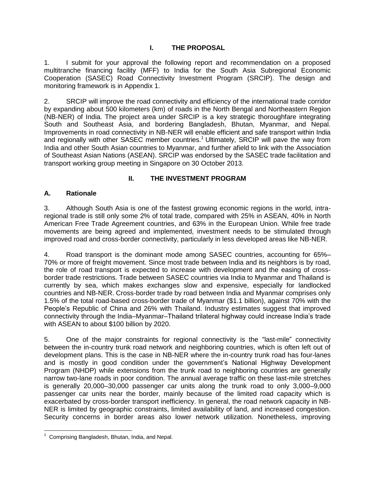# **I. THE PROPOSAL**

<span id="page-6-0"></span>1. I submit for your approval the following report and recommendation on a proposed multitranche financing facility (MFF) to India for the South Asia Subregional Economic Cooperation (SASEC) Road Connectivity Investment Program (SRCIP). The design and monitoring framework is in Appendix 1.

2. SRCIP will improve the road connectivity and efficiency of the international trade corridor by expanding about 500 kilometers (km) of roads in the North Bengal and Northeastern Region (NB-NER) of India. The project area under SRCIP is a key strategic thoroughfare integrating South and Southeast Asia, and bordering Bangladesh, Bhutan, Myanmar, and Nepal. Improvements in road connectivity in NB-NER will enable efficient and safe transport within India and regionally with other SASEC member countries.<sup>1</sup> Ultimately, SRCIP will pave the way from India and other South Asian countries to Myanmar, and further afield to link with the Association of Southeast Asian Nations (ASEAN). SRCIP was endorsed by the SASEC trade facilitation and transport working group meeting in Singapore on 30 October 2013.

# **II. THE INVESTMENT PROGRAM**

# <span id="page-6-2"></span><span id="page-6-1"></span>**A. Rationale**

3. Although South Asia is one of the fastest growing economic regions in the world, intraregional trade is still only some 2% of total trade, compared with 25% in ASEAN, 40% in North American Free Trade Agreement countries, and 63% in the European Union. While free trade movements are being agreed and implemented, investment needs to be stimulated through improved road and cross-border connectivity, particularly in less developed areas like NB-NER.

4. Road transport is the dominant mode among SASEC countries, accounting for 65%– 70% or more of freight movement. Since most trade between India and its neighbors is by road, the role of road transport is expected to increase with development and the easing of crossborder trade restrictions. Trade between SASEC countries via India to Myanmar and Thailand is currently by sea, which makes exchanges slow and expensive, especially for landlocked countries and NB-NER. Cross-border trade by road between India and Myanmar comprises only 1.5% of the total road-based cross-border trade of Myanmar (\$1.1 billion), against 70% with the People's Republic of China and 26% with Thailand. Industry estimates suggest that improved connectivity through the India–Myanmar–Thailand trilateral highway could increase India's trade with ASEAN to about \$100 billion by 2020.

5. One of the major constraints for regional connectivity is the "last-mile" connectivity between the in-country trunk road network and neighboring countries, which is often left out of development plans. This is the case in NB-NER where the in-country trunk road has four-lanes and is mostly in good condition under the government's National Highway Development Program (NHDP) while extensions from the trunk road to neighboring countries are generally narrow two-lane roads in poor condition. The annual average traffic on these last-mile stretches is generally 20,000–30,000 passenger car units along the trunk road to only 3,000–9,000 passenger car units near the border, mainly because of the limited road capacity which is exacerbated by cross-border transport inefficiency. In general, the road network capacity in NB-NER is limited by geographic constraints, limited availability of land, and increased congestion. Security concerns in border areas also lower network utilization. Nonetheless, improving

<sup>&</sup>lt;sup>1</sup> Comprising Bangladesh, Bhutan, India, and Nepal.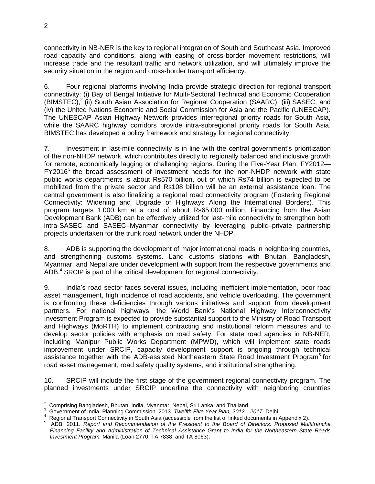connectivity in NB-NER is the key to regional integration of South and Southeast Asia. Improved road capacity and conditions, along with easing of cross-border movement restrictions, will increase trade and the resultant traffic and network utilization, and will ultimately improve the security situation in the region and cross-border transport efficiency.

6. Four regional platforms involving India provide strategic direction for regional transport connectivity: (i) Bay of Bengal Initiative for Multi-Sectoral Technical and Economic Cooperation (BIMSTEC),<sup>2</sup> (ii) South Asian Association for Regional Cooperation (SAARC), (iii) SASEC, and (iv) the United Nations Economic and Social Commission for Asia and the Pacific (UNESCAP). The UNESCAP Asian Highway Network provides interregional priority roads for South Asia, while the SAARC highway corridors provide intra-subregional priority roads for South Asia. BIMSTEC has developed a policy framework and strategy for regional connectivity.

7. Investment in last-mile connectivity is in line with the central government's prioritization of the non-NHDP network, which contributes directly to regionally balanced and inclusive growth for remote, economically lagging or challenging regions. During the Five-Year Plan, FY2012—  $FY2016<sup>3</sup>$  the broad assessment of investment needs for the non-NHDP network with state public works departments is about Rs570 billion, out of which Rs74 billion is expected to be mobilized from the private sector and Rs108 billion will be an external assistance loan. The central government is also finalizing a regional road connectivity program (Fostering Regional Connectivity: Widening and Upgrade of Highways Along the International Borders). This program targets 1,000 km at a cost of about Rs65,000 million. Financing from the Asian Development Bank (ADB) can be effectively utilized for last-mile connectivity to strengthen both intra-SASEC and SASEC–Myanmar connectivity by leveraging public–private partnership projects undertaken for the trunk road network under the NHDP.

8. ADB is supporting the development of major international roads in neighboring countries, and strengthening customs systems. Land customs stations with Bhutan, Bangladesh, Myanmar, and Nepal are under development with support from the respective governments and ADB.<sup>4</sup> SRCIP is part of the critical development for regional connectivity.

9. India's road sector faces several issues, including inefficient implementation, poor road asset management, high incidence of road accidents, and vehicle overloading. The government is confronting these deficiencies through various initiatives and support from development partners. For national highways, the World Bank's National Highway Interconnectivity Investment Program is expected to provide substantial support to the Ministry of Road Transport and Highways (MoRTH) to implement contracting and institutional reform measures and to develop sector policies with emphasis on road safety. For state road agencies in NB-NER, including Manipur Public Works Department (MPWD), which will implement state roads improvement under SRCIP, capacity development support is ongoing through technical assistance together with the ADB-assisted Northeastern State Road Investment Program<sup>5</sup> for road asset management, road safety quality systems, and institutional strengthening.

10. SRCIP will include the first stage of the government regional connectivity program. The planned investments under SRCIP underline the connectivity with neighboring countries

<sup>&</sup>lt;u>.</u><br><sup>2</sup> Comprising [Bangladesh,](http://en.wikipedia.org/wiki/Bangladesh) Bhutan[, India,](http://en.wikipedia.org/wiki/India) [Myanmar,](http://en.wikipedia.org/wiki/Myanmar) Nepal, [Sri Lanka,](http://en.wikipedia.org/wiki/Sri_Lanka) an[d Thailand.](http://en.wikipedia.org/wiki/Thailand)

<sup>3</sup> Government of India. Planning Commission. 2013. *Twelfth Five Year Plan, 2012—2017*. Delhi.

<sup>4</sup> Regional Transport Connectivity in South Asia (accessible from the list of linked documents in Appendix 2).

<sup>5</sup> ADB. 2011. *Report and Recommendation of the President to the Board of Directors: Proposed Multitranche Financing Facility and Administration of Technical Assistance Grant to India for the Northeastern State Roads Investment Program.* Manila (Loan 2770, TA 7838, and TA 8063).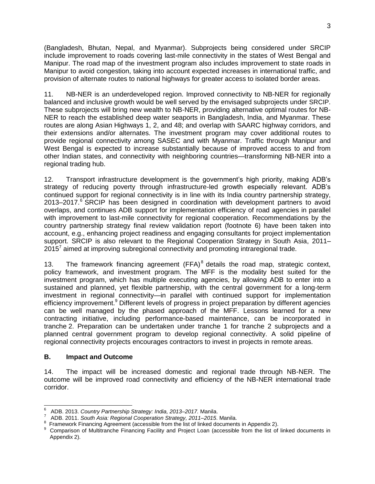(Bangladesh, Bhutan, Nepal, and Myanmar). Subprojects being considered under SRCIP include improvement to roads covering last-mile connectivity in the states of West Bengal and Manipur. The road map of the investment program also includes improvement to state roads in Manipur to avoid congestion, taking into account expected increases in international traffic, and provision of alternate routes to national highways for greater access to isolated border areas.

11. NB-NER is an underdeveloped region. Improved connectivity to NB-NER for regionally balanced and inclusive growth would be well served by the envisaged subprojects under SRCIP. These subprojects will bring new wealth to NB-NER, providing alternative optimal routes for NB-NER to reach the established deep water seaports in Bangladesh, India, and Myanmar. These routes are along Asian Highways 1, 2, and 48; and overlap with SAARC highway corridors, and their extensions and/or alternates. The investment program may cover additional routes to provide regional connectivity among SASEC and with Myanmar. Traffic through Manipur and West Bengal is expected to increase substantially because of improved access to and from other Indian states, and connectivity with neighboring countries—transforming NB-NER into a regional trading hub.

12. Transport infrastructure development is the government's high priority, making ADB's strategy of reducing poverty through infrastructure-led growth especially relevant. ADB's continued support for regional connectivity is in line with its India country partnership strategy, 2013–2017.<sup>6</sup> SRCIP has been designed in coordination with development partners to avoid overlaps, and continues ADB support for implementation efficiency of road agencies in parallel with improvement to last-mile connectivity for regional cooperation. Recommendations by the country partnership strategy final review validation report (footnote 6) have been taken into account, e.g., enhancing project readiness and engaging consultants for project implementation support. SRCIP is also relevant to the Regional Cooperation Strategy in South Asia, 2011– 2015<sup>7</sup> aimed at improving subregional connectivity and promoting intraregional trade.

13. The framework financing agreement  $(FFA)^8$  details the road map, strategic context, policy framework, and investment program. The MFF is the modality best suited for the investment program, which has multiple executing agencies, by allowing ADB to enter into a sustained and planned, yet flexible partnership, with the central government for a long-term investment in regional connectivity—in parallel with continued support for implementation efficiency improvement.<sup>9</sup> Different levels of progress in project preparation by different agencies can be well managed by the phased approach of the MFF. Lessons learned for a new contracting initiative, including performance-based maintenance, can be incorporated in tranche 2. Preparation can be undertaken under tranche 1 for tranche 2 subprojects and a planned central government program to develop regional connectivity. A solid pipeline of regional connectivity projects encourages contractors to invest in projects in remote areas.

## <span id="page-8-0"></span>**B. Impact and Outcome**

14. The impact will be increased domestic and regional trade through NB-NER. The outcome will be improved road connectivity and efficiency of the NB-NER international trade corridor.

 $\overline{\phantom{a}}$ 6 ADB. 2013. *Country Partnership Strategy: India, 2013–2017.* Manila.

<sup>7</sup> ADB. 2011. *South Asia: Regional Cooperation Strategy, 2011–2015*. Manila.

<sup>8</sup> Framework Financing Agreement (accessible from the list of linked documents in Appendix 2).

<sup>9</sup> Comparison of Multitranche Financing Facility and Project Loan (accessible from the list of linked documents in Appendix 2).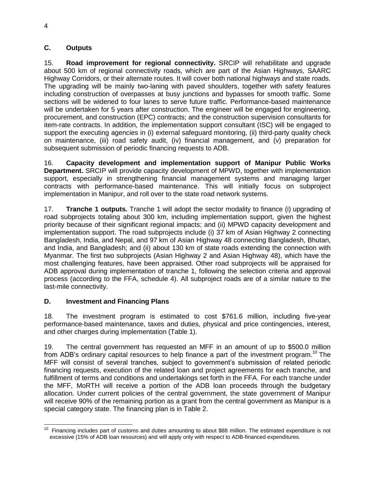## <span id="page-9-0"></span>**C. Outputs**

15. **Road improvement for regional connectivity.** SRCIP will rehabilitate and upgrade about 500 km of regional connectivity roads, which are part of the Asian Highways, SAARC Highway Corridors, or their alternate routes. It will cover both national highways and state roads. The upgrading will be mainly two-laning with paved shoulders, together with safety features including construction of overpasses at busy junctions and bypasses for smooth traffic. Some sections will be widened to four lanes to serve future traffic. Performance-based maintenance will be undertaken for 5 years after construction. The engineer will be engaged for engineering, procurement, and construction (EPC) contracts; and the construction supervision consultants for item-rate contracts. In addition, the implementation support consultant (ISC) will be engaged to support the executing agencies in (i) external safeguard monitoring, (ii) third-party quality check on maintenance, (iii) road safety audit, (iv) financial management, and (v) preparation for subsequent submission of periodic financing requests to ADB.

16. **Capacity development and implementation support of Manipur Public Works Department.** SRCIP will provide capacity development of MPWD, together with implementation support, especially in strengthening financial management systems and managing larger contracts with performance-based maintenance. This will initially focus on subproject implementation in Manipur, and roll over to the state road network systems.

17. **Tranche 1 outputs.** Tranche 1 will adopt the sector modality to finance (i) upgrading of road subprojects totaling about 300 km, including implementation support, given the highest priority because of their significant regional impacts; and (ii) MPWD capacity development and implementation support. The road subprojects include (i) 37 km of Asian Highway 2 connecting Bangladesh, India, and Nepal, and 97 km of Asian Highway 48 connecting Bangladesh, Bhutan, and India, and Bangladesh; and (ii) about 130 km of state roads extending the connection with Myanmar. The first two subprojects (Asian Highway 2 and Asian Highway 48), which have the most challenging features, have been appraised. Other road subprojects will be appraised for ADB approval during implementation of tranche 1, following the selection criteria and approval process (according to the FFA, schedule 4). All subproject roads are of a similar nature to the last-mile connectivity.

# <span id="page-9-1"></span>**D. Investment and Financing Plans**

18. The investment program is estimated to cost \$761.6 million, including five-year performance-based maintenance, taxes and duties, physical and price contingencies, interest, and other charges during implementation (Table 1).

19. The central government has requested an MFF in an amount of up to \$500.0 million from ADB's ordinary capital resources to help finance a part of the investment program.<sup>10</sup> The MFF will consist of several tranches, subject to government's submission of related periodic financing requests, execution of the related loan and project agreements for each tranche, and fulfillment of terms and conditions and undertakings set forth in the FFA. For each tranche under the MFF, MoRTH will receive a portion of the ADB loan proceeds through the budgetary allocation. Under current policies of the central government, the state government of Manipur will receive 90% of the remaining portion as a grant from the central government as Manipur is a special category state. The financing plan is in Table 2.

The state of the control of the state of customs and duties amounting to about \$88 million. The estimated expenditure is not the Financing includes part of customs and duties amounting to about \$88 million. The estimated e excessive (15% of ADB loan resources) and will apply only with respect to ADB-financed expenditures.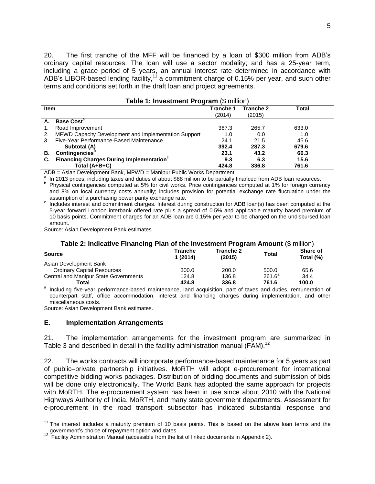20. The first tranche of the MFF will be financed by a loan of \$300 million from ADB's ordinary capital resources. The loan will use a sector modality; and has a 25-year term, including a grace period of 5 years, an annual interest rate determined in accordance with ADB's LIBOR-based lending facility,<sup>11</sup> a commitment charge of 0.15% per year, and such other terms and conditions set forth in the draft loan and project agreements.

|             | <b>Table 1: Investment Program (\$ million)</b>      |           |           |       |  |  |  |
|-------------|------------------------------------------------------|-----------|-----------|-------|--|--|--|
| <b>Item</b> |                                                      | Tranche 1 | Tranche 2 | Total |  |  |  |
|             |                                                      | (2014)    | (2015)    |       |  |  |  |
|             | <b>Base Cost<sup>a</sup></b>                         |           |           |       |  |  |  |
|             | Road Improvement                                     | 367.3     | 265.7     | 633.0 |  |  |  |
|             | MPWD Capacity Development and Implementation Support | 1.0       | 0.0       | 1.0   |  |  |  |
|             | Five-Year Performance-Based Maintenance              | 24.1      | 21.5      | 45.6  |  |  |  |
|             | Subtotal (A)                                         | 392.4     | 287.3     | 679.6 |  |  |  |
| В.          | Contingencies                                        | 23.1      | 43.2      | 66.3  |  |  |  |
| С.          | Financing Charges During Implementation <sup>c</sup> | 9.3       | 6.3       | 15.6  |  |  |  |
|             | Total (A+B+C)                                        | 424.8     | 336.8     | 761.6 |  |  |  |

ADB = Asian Development Bank, MPWD = Manipur Public Works Department.

a In 2013 prices, including taxes and duties of about \$88 million to be partially financed from ADB loan resources.

<sup>b</sup> Physical contingencies computed at 5% for civil works. Price contingencies computed at 1% for foreign currency and 8% on local currency costs annually; includes provision for potential exchange rate fluctuation under the assumption of a purchasing power parity exchange rate.

c Includes interest and commitment charges. Interest during construction for ADB loan(s) has been computed at the 5-year forward London interbank offered rate plus a spread of 0.5% and applicable maturity based premium of 10 basis points. Commitment charges for an ADB loan are 0.15% per year to be charged on the undisbursed loan amount.

Source: Asian Development Bank estimates.

| Table 2: Indicative Financing Plan of the Investment Program Amount (\$ million) |                    |                     |              |                       |  |  |  |
|----------------------------------------------------------------------------------|--------------------|---------------------|--------------|-----------------------|--|--|--|
| <b>Source</b>                                                                    | Tranche<br>1(2014) | Tranche 2<br>(2015) | <b>Total</b> | Share of<br>Total (%) |  |  |  |
| Asian Development Bank                                                           |                    |                     |              |                       |  |  |  |
| <b>Ordinary Capital Resources</b>                                                | 300.0              | 200.0               | 500.0        | 65.6                  |  |  |  |
| <b>Central and Manipur State Governments</b>                                     | 124.8              | 136.8               | $261.6^a$    | 34.4                  |  |  |  |
| Total<br>a                                                                       | 424.8              | 336.8<br>.          | 761.6<br>.   | 100.0                 |  |  |  |

a Including five-year performance-based maintenance, land acquisition, part of taxes and duties, remuneration of counterpart staff, office accommodation, interest and financing charges during implementation, and other miscellaneous costs.

Source: Asian Development Bank estimates.

#### <span id="page-10-0"></span>**E. Implementation Arrangements**

21. The implementation arrangements for the investment program are summarized in Table 3 and described in detail in the facility administration manual (FAM).<sup>12</sup>

22. The works contracts will incorporate performance-based maintenance for 5 years as part of public–private partnership initiatives. MoRTH will adopt e-procurement for international competitive bidding works packages. Distribution of bidding documents and submission of bids will be done only electronically. The World Bank has adopted the same approach for projects with MoRTH. The e-procurement system has been in use since about 2010 with the National Highways Authority of India, MoRTH, and many state government departments. Assessment for e-procurement in the road transport subsector has indicated substantial response and

 $11$  The interest includes a maturity premium of 10 basis points. This is based on the above loan terms and the government's choice of repayment option and dates.<br><sup>12</sup> Facility Administration Manual (accessible from the list of linked documents in Appendix 2).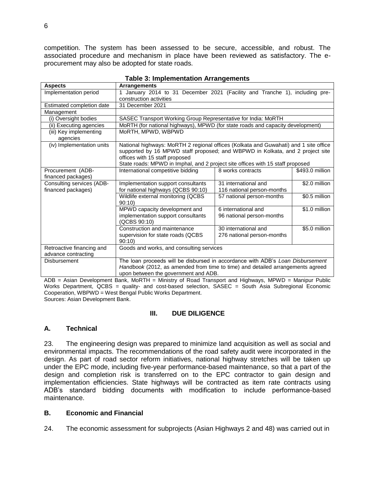competition. The system has been assessed to be secure, accessible, and robust. The associated procedure and mechanism in place have been reviewed as satisfactory. The eprocurement may also be adopted for state roads.

| <b>Aspects</b>                                   | Arrangements                                                                                                                                                                                                                                                                              |                                                    |                 |
|--------------------------------------------------|-------------------------------------------------------------------------------------------------------------------------------------------------------------------------------------------------------------------------------------------------------------------------------------------|----------------------------------------------------|-----------------|
| Implementation period                            | January 2014 to 31 December 2021 (Facility and Tranche 1), including pre-                                                                                                                                                                                                                 |                                                    |                 |
|                                                  | construction activities                                                                                                                                                                                                                                                                   |                                                    |                 |
| Estimated completion date                        | 31 December 2021                                                                                                                                                                                                                                                                          |                                                    |                 |
| Management                                       |                                                                                                                                                                                                                                                                                           |                                                    |                 |
| (i) Oversight bodies                             | SASEC Transport Working Group Representative for India: MoRTH                                                                                                                                                                                                                             |                                                    |                 |
| (ii) Executing agencies                          | MoRTH (for national highways), MPWD (for state roads and capacity development)                                                                                                                                                                                                            |                                                    |                 |
| (iii) Key implementing<br>agencies               | MoRTH, MPWD, WBPWD                                                                                                                                                                                                                                                                        |                                                    |                 |
| (iv) Implementation units                        | National highways: MoRTH 2 regional offices (Kolkata and Guwahati) and 1 site office<br>supported by 16 MPWD staff proposed; and WBPWD in Kolkata, and 2 project site<br>offices with 15 staff proposed<br>State roads: MPWD in Imphal, and 2 project site offices with 15 staff proposed |                                                    |                 |
| Procurement (ADB-<br>financed packages)          | International competitive bidding                                                                                                                                                                                                                                                         | 8 works contracts                                  | \$493.0 million |
| Consulting services (ADB-<br>financed packages)  | Implementation support consultants<br>for national highways (QCBS 90:10)                                                                                                                                                                                                                  | 31 international and<br>116 national person-months | \$2.0 million   |
|                                                  | Wildlife external monitoring (QCBS<br>90:10                                                                                                                                                                                                                                               | 57 national person-months                          | \$0.5 million   |
|                                                  | MPWD capacity development and<br>implementation support consultants<br>(QCBS 90:10)                                                                                                                                                                                                       | 6 international and<br>96 national person-months   | \$1.0 million   |
|                                                  | Construction and maintenance<br>supervision for state roads (QCBS<br>90:10                                                                                                                                                                                                                | 30 international and<br>276 national person-months | \$5.0 million   |
| Retroactive financing and<br>advance contracting | Goods and works, and consulting services                                                                                                                                                                                                                                                  |                                                    |                 |
| Disbursement                                     | The loan proceeds will be disbursed in accordance with ADB's Loan Disbursement<br>Handbook (2012, as amended from time to time) and detailed arrangements agreed<br>upon between the government and ADB.                                                                                  |                                                    |                 |

|  | <b>Table 3: Implementation Arrangements</b> |  |
|--|---------------------------------------------|--|
|--|---------------------------------------------|--|

ADB = Asian Development Bank, MoRTH = Ministry of Road Transport and Highways, MPWD = Manipur Public Works Department, QCBS = quality- and cost-based selection, SASEC = South Asia Subregional Economic Cooperation, WBPWD = West Bengal Public Works Department. Sources: Asian Development Bank.

#### **III. DUE DILIGENCE**

#### <span id="page-11-1"></span><span id="page-11-0"></span>**A. Technical**

23. The engineering design was prepared to minimize land acquisition as well as social and environmental impacts. The recommendations of the road safety audit were incorporated in the design. As part of road sector reform initiatives, national highway stretches will be taken up under the EPC mode, including five-year performance-based maintenance, so that a part of the design and completion risk is transferred on to the EPC contractor to gain design and implementation efficiencies. State highways will be contracted as item rate contracts using ADB's standard bidding documents with modification to include performance-based maintenance.

## <span id="page-11-2"></span>**B. Economic and Financial**

24. The economic assessment for subprojects (Asian Highways 2 and 48) was carried out in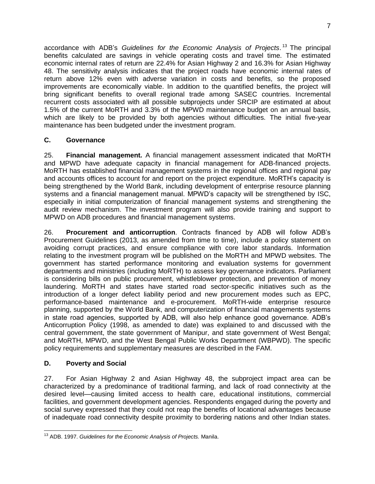accordance with ADB's *Guidelines for the Economic Analysis of Projects*. <sup>13</sup> The principal benefits calculated are savings in vehicle operating costs and travel time. The estimated economic internal rates of return are 22.4% for Asian Highway 2 and 16.3% for Asian Highway 48. The sensitivity analysis indicates that the project roads have economic internal rates of return above 12% even with adverse variation in costs and benefits, so the proposed improvements are economically viable. In addition to the quantified benefits, the project will bring significant benefits to overall regional trade among SASEC countries. Incremental recurrent costs associated with all possible subprojects under SRCIP are estimated at about 1.5% of the current MoRTH and 3.3% of the MPWD maintenance budget on an annual basis, which are likely to be provided by both agencies without difficulties. The initial five-year maintenance has been budgeted under the investment program.

# <span id="page-12-0"></span>**C. Governance**

25. **Financial management.** A financial management assessment indicated that MoRTH and MPWD have adequate capacity in financial management for ADB-financed projects. MoRTH has established financial management systems in the regional offices and regional pay and accounts offices to account for and report on the project expenditure. MoRTH's capacity is being strengthened by the World Bank, including development of enterprise resource planning systems and a financial management manual. MPWD's capacity will be strengthened by ISC, especially in initial computerization of financial management systems and strengthening the audit review mechanism. The investment program will also provide training and support to MPWD on ADB procedures and financial management systems.

26. **Procurement and anticorruption**. Contracts financed by ADB will follow ADB's Procurement Guidelines (2013, as amended from time to time), include a policy statement on avoiding corrupt practices, and ensure compliance with core labor standards. Information relating to the investment program will be published on the MoRTH and MPWD websites. The government has started performance monitoring and evaluation systems for government departments and ministries (including MoRTH) to assess key governance indicators. Parliament is considering bills on public procurement, whistleblower protection, and prevention of money laundering. MoRTH and states have started road sector-specific initiatives such as the introduction of a longer defect liability period and new procurement modes such as EPC, performance-based maintenance and e-procurement. MoRTH-wide enterprise resource planning, supported by the World Bank, and computerization of financial managements systems in state road agencies, supported by ADB, will also help enhance good governance. ADB's Anticorruption Policy (1998, as amended to date) was explained to and discussed with the central government, the state government of Manipur, and state government of West Bengal; and MoRTH, MPWD, and the West Bengal Public Works Department (WBPWD). The specific policy requirements and supplementary measures are described in the FAM.

# <span id="page-12-1"></span>**D. Poverty and Social**

27. For Asian Highway 2 and Asian Highway 48, the subproject impact area can be characterized by a predominance of traditional farming, and lack of road connectivity at the desired level—causing limited access to health care, educational institutions, commercial facilities, and government development agencies. Respondents engaged during the poverty and social survey expressed that they could not reap the benefits of locational advantages because of inadequate road connectivity despite proximity to bordering nations and other Indian states.

 <sup>13</sup> ADB. 1997. *Guidelines for the Economic Analysis of Projects.* Manila.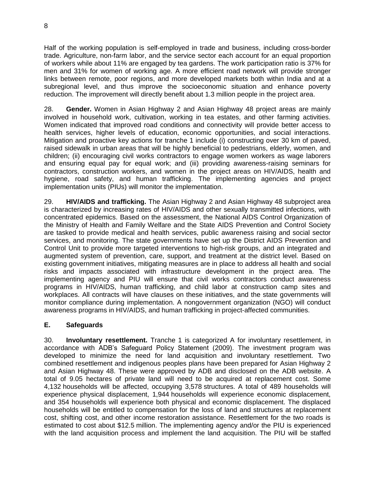Half of the working population is self-employed in trade and business, including cross-border trade. Agriculture, non-farm labor, and the service sector each account for an equal proportion of workers while about 11% are engaged by tea gardens. The work participation ratio is 37% for men and 31% for women of working age. A more efficient road network will provide stronger links between remote, poor regions, and more developed markets both within India and at a subregional level, and thus improve the socioeconomic situation and enhance poverty reduction. The improvement will directly benefit about 1.3 million people in the project area.

28. **Gender.** Women in Asian Highway 2 and Asian Highway 48 project areas are mainly involved in household work, cultivation, working in tea estates, and other farming activities. Women indicated that improved road conditions and connectivity will provide better access to health services, higher levels of education, economic opportunities, and social interactions. Mitigation and proactive key actions for tranche 1 include (i) constructing over 30 km of paved, raised sidewalk in urban areas that will be highly beneficial to pedestrians, elderly, women, and children; (ii) encouraging civil works contractors to engage women workers as wage laborers and ensuring equal pay for equal work; and (iii) providing awareness-raising seminars for contractors, construction workers, and women in the project areas on HIV/AIDS, health and hygiene, road safety, and human trafficking. The implementing agencies and project implementation units (PIUs) will monitor the implementation.

29. **HIV/AIDS and trafficking.** The Asian Highway 2 and Asian Highway 48 subproject area is characterized by increasing rates of HIV/AIDS and other sexually transmitted infections, with concentrated epidemics. Based on the assessment, the National AIDS Control Organization of the Ministry of Health and Family Welfare and the State AIDS Prevention and Control Society are tasked to provide medical and health services, public awareness raising and social sector services, and monitoring. The state governments have set up the District AIDS Prevention and Control Unit to provide more targeted interventions to high-risk groups, and an integrated and augmented system of prevention, care, support, and treatment at the district level. Based on existing government initiatives, mitigating measures are in place to address all health and social risks and impacts associated with infrastructure development in the project area. The implementing agency and PIU will ensure that civil works contractors conduct awareness programs in HIV/AIDS, human trafficking, and child labor at construction camp sites and workplaces. All contracts will have clauses on these initiatives, and the state governments will monitor compliance during implementation. A nongovernment organization (NGO) will conduct awareness programs in HIV/AIDS, and human trafficking in project-affected communities.

# <span id="page-13-0"></span>**E. Safeguards**

30. **Involuntary resettlement.** Tranche 1 is categorized A for involuntary resettlement, in accordance with ADB's Safeguard Policy Statement (2009). The investment program was developed to minimize the need for land acquisition and involuntary resettlement. Two combined resettlement and indigenous peoples plans have been prepared for Asian Highway 2 and Asian Highway 48. These were approved by ADB and disclosed on the ADB website. A total of 9.05 hectares of private land will need to be acquired at replacement cost. Some 4,132 households will be affected, occupying 3,578 structures. A total of 489 households will experience physical displacement, 1,944 households will experience economic displacement, and 354 households will experience both physical and economic displacement. The displaced households will be entitled to compensation for the loss of land and structures at replacement cost, shifting cost, and other income restoration assistance. Resettlement for the two roads is estimated to cost about \$12.5 million. The implementing agency and/or the PIU is experienced with the land acquisition process and implement the land acquisition. The PIU will be staffed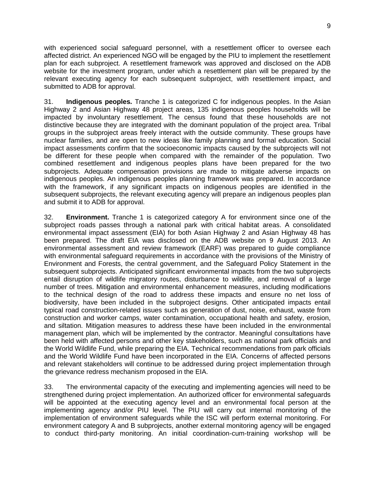with experienced social safeguard personnel, with a resettlement officer to oversee each affected district. An experienced NGO will be engaged by the PIU to implement the resettlement plan for each subproject. A resettlement framework was approved and disclosed on the ADB website for the investment program, under which a resettlement plan will be prepared by the relevant executing agency for each subsequent subproject, with resettlement impact, and submitted to ADB for approval.

31. **Indigenous peoples.** Tranche 1 is categorized C for indigenous peoples. In the Asian Highway 2 and Asian Highway 48 project areas, 135 indigenous peoples households will be impacted by involuntary resettlement. The census found that these households are not distinctive because they are integrated with the dominant population of the project area. Tribal groups in the subproject areas freely interact with the outside community. These groups have nuclear families, and are open to new ideas like family planning and formal education. Social impact assessments confirm that the socioeconomic impacts caused by the subprojects will not be different for these people when compared with the remainder of the population. Two combined resettlement and indigenous peoples plans have been prepared for the two subprojects. Adequate compensation provisions are made to mitigate adverse impacts on indigenous peoples. An indigenous peoples planning framework was prepared. In accordance with the framework, if any significant impacts on indigenous peoples are identified in the subsequent subprojects, the relevant executing agency will prepare an indigenous peoples plan and submit it to ADB for approval.

32. **Environment.** Tranche 1 is categorized category A for environment since one of the subproject roads passes through a national park with critical habitat areas. A consolidated environmental impact assessment (EIA) for both Asian Highway 2 and Asian Highway 48 has been prepared. The draft EIA was disclosed on the ADB website on 9 August 2013. An environmental assessment and review framework (EARF) was prepared to guide compliance with environmental safeguard requirements in accordance with the provisions of the Ministry of Environment and Forests, the central government, and the Safeguard Policy Statement in the subsequent subprojects. Anticipated significant environmental impacts from the two subprojects entail disruption of wildlife migratory routes, disturbance to wildlife, and removal of a large number of trees. Mitigation and environmental enhancement measures, including modifications to the technical design of the road to address these impacts and ensure no net loss of biodiversity, have been included in the subproject designs. Other anticipated impacts entail typical road construction-related issues such as generation of dust, noise, exhaust, waste from construction and worker camps, water contamination, occupational health and safety, erosion, and siltation. Mitigation measures to address these have been included in the environmental management plan, which will be implemented by the contractor. Meaningful consultations have been held with affected persons and other key stakeholders, such as national park officials and the World Wildlife Fund, while preparing the EIA. Technical recommendations from park officials and the World Wildlife Fund have been incorporated in the EIA. Concerns of affected persons and relevant stakeholders will continue to be addressed during project implementation through the grievance redress mechanism proposed in the EIA.

33. The environmental capacity of the executing and implementing agencies will need to be strengthened during project implementation. An authorized officer for environmental safeguards will be appointed at the executing agency level and an environmental focal person at the implementing agency and/or PIU level. The PIU will carry out internal monitoring of the implementation of environment safeguards while the ISC will perform external monitoring. For environment category A and B subprojects, another external monitoring agency will be engaged to conduct third-party monitoring. An initial coordination-cum-training workshop will be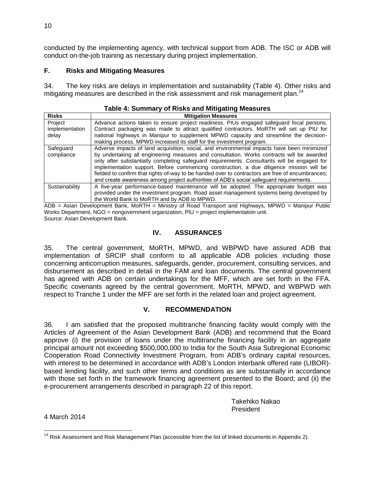conducted by the implementing agency, with technical support from ADB. The ISC or ADB will conduct on-the-job training as necessary during project implementation.

## <span id="page-15-0"></span>**F. Risks and Mitigating Measures**

34. The key risks are delays in implementatioin and sustainability (Table 4). Other risks and mitigating measures are described in the risk assessment and risk management plan.<sup>14</sup>

| Table 4: Summary of Risks and Mitigating Measures |                                                                                                                                                                                                                                                                                                                                                                                                                                                                                                                                                                                 |  |  |  |  |  |
|---------------------------------------------------|---------------------------------------------------------------------------------------------------------------------------------------------------------------------------------------------------------------------------------------------------------------------------------------------------------------------------------------------------------------------------------------------------------------------------------------------------------------------------------------------------------------------------------------------------------------------------------|--|--|--|--|--|
| <b>Risks</b>                                      | <b>Mitigation Measures</b>                                                                                                                                                                                                                                                                                                                                                                                                                                                                                                                                                      |  |  |  |  |  |
| Project<br>implementation<br>delay                | Advance actions taken to ensure project readiness. PIUs engaged safeguard focal persons.<br>Contract packaging was made to attract qualified contractors. MoRTH will set up PIU for<br>national highways in Manipur to supplement MPWD capacity and streamline the decision-<br>making process. MPWD increased its staff for the investment program.                                                                                                                                                                                                                            |  |  |  |  |  |
| Safeguard<br>compliance                           | Adverse impacts of land acquisition, social, and environmental impacts have been minimized<br>by undertaking all engineering measures and consultation. Works contracts will be awarded<br>only after substantially completing safeguard requirements. Consultants will be engaged for<br>implementation support. Before commencing construction, a due diligence mission will be<br>fielded to confirm that rights-of-way to be handed over to contractors are free of encumbrances;<br>and create awareness among project authorities of ADB's social safeguard requirements. |  |  |  |  |  |
| Sustainability                                    | A five-year performance-based maintenance will be adopted. The appropriate budget was<br>provided under the investment program. Road asset management systems being developed by<br>the World Bank to MoRTH and by ADB to MPWD.                                                                                                                                                                                                                                                                                                                                                 |  |  |  |  |  |

<span id="page-15-1"></span>ADB = Asian Development Bank, MoRTH = Ministry of Road Transport and Highways, MPWD = Manipur Public Works Department, NGO = nongovernment organization, PIU = project implementation unit. Source: Asian Development Bank.

## **IV. ASSURANCES**

35. The central government, MoRTH, MPWD, and WBPWD have assured ADB that implementation of SRCIP shall conform to all applicable ADB policies including those concerning anticorruption measures, safeguards, gender, procurement, consulting services, and disbursement as described in detail in the FAM and loan documents. The central government has agreed with ADB on certain undertakings for the MFF, which are set forth in the FFA. Specific covenants agreed by the central government, MoRTH, MPWD, and WBPWD with respect to Tranche 1 under the MFF are set forth in the related loan and project agreement.

## **V. RECOMMENDATION**

<span id="page-15-2"></span>36. I am satisfied that the proposed multitranche financing facility would comply with the Articles of Agreement of the Asian Development Bank (ADB) and recommend that the Board approve (i) the provision of loans under the multitranche financing facility in an aggregate principal amount not exceeding \$500,000,000 to India for the South Asia Subregional Economic Cooperation Road Connectivity Investment Program, from ADB's ordinary capital resources, with interest to be determined in accordance with ADB's London interbank offered rate (LIBOR) based lending facility, and such other terms and conditions as are substantially in accordance with those set forth in the framework financing agreement presented to the Board; and (ii) the e-procurement arrangements described in paragraph 22 of this report.

> Takehiko Nakao President

4 March 2014

 $14$  Risk Assessment and Risk Management Plan (accessible from the list of linked documents in Appendix 2).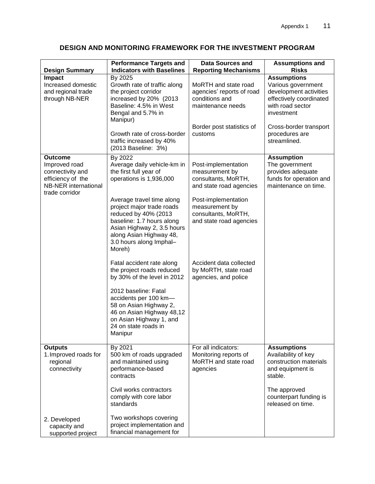| <b>Design Summary</b>                                                                                                     | <b>Performance Targets and</b><br><b>Indicators with Baselines</b>                                                                                                                                        | <b>Data Sources and</b><br><b>Reporting Mechanisms</b>                                   | <b>Assumptions and</b><br><b>Risks</b>                                                                                          |
|---------------------------------------------------------------------------------------------------------------------------|-----------------------------------------------------------------------------------------------------------------------------------------------------------------------------------------------------------|------------------------------------------------------------------------------------------|---------------------------------------------------------------------------------------------------------------------------------|
| Impact<br>Increased domestic<br>and regional trade<br>through NB-NER                                                      | By 2025<br>Growth rate of traffic along<br>the project corridor<br>increased by 20% (2013<br>Baseline: 4.5% in West<br>Bengal and 5.7% in<br>Manipur)                                                     | MoRTH and state road<br>agencies' reports of road<br>conditions and<br>maintenance needs | <b>Assumptions</b><br>Various government<br>development activities<br>effectively coordinated<br>with road sector<br>investment |
|                                                                                                                           | Growth rate of cross-border<br>traffic increased by 40%<br>(2013 Baseline: 3%)                                                                                                                            | Border post statistics of<br>customs                                                     | Cross-border transport<br>procedures are<br>streamlined.                                                                        |
| <b>Outcome</b><br>Improved road<br>connectivity and<br>efficiency of the<br><b>NB-NER</b> international<br>trade corridor | By 2022<br>Average daily vehicle-km in<br>the first full year of<br>operations is 1,936,000                                                                                                               | Post-implementation<br>measurement by<br>consultants, MoRTH,<br>and state road agencies  | <b>Assumption</b><br>The government<br>provides adequate<br>funds for operation and<br>maintenance on time.                     |
|                                                                                                                           | Average travel time along<br>project major trade roads<br>reduced by 40% (2013<br>baseline: 1.7 hours along<br>Asian Highway 2, 3.5 hours<br>along Asian Highway 48,<br>3.0 hours along Imphal-<br>Moreh) | Post-implementation<br>measurement by<br>consultants, MoRTH,<br>and state road agencies  |                                                                                                                                 |
|                                                                                                                           | Fatal accident rate along<br>the project roads reduced<br>by 30% of the level in 2012                                                                                                                     | Accident data collected<br>by MoRTH, state road<br>agencies, and police                  |                                                                                                                                 |
|                                                                                                                           | 2012 baseline: Fatal<br>accidents per 100 km-<br>58 on Asian Highway 2,<br>46 on Asian Highway 48,12<br>on Asian Highway 1, and<br>24 on state roads in<br>Manipur                                        |                                                                                          |                                                                                                                                 |
| <b>Outputs</b><br>1. Improved roads for<br>regional<br>connectivity                                                       | By 2021<br>500 km of roads upgraded<br>and maintained using<br>performance-based<br>contracts                                                                                                             | For all indicators:<br>Monitoring reports of<br>MoRTH and state road<br>agencies         | <b>Assumptions</b><br>Availability of key<br>construction materials<br>and equipment is<br>stable.                              |
|                                                                                                                           | Civil works contractors<br>comply with core labor<br>standards                                                                                                                                            |                                                                                          | The approved<br>counterpart funding is<br>released on time.                                                                     |
| 2. Developed<br>capacity and<br>supported project                                                                         | Two workshops covering<br>project implementation and<br>financial management for                                                                                                                          |                                                                                          |                                                                                                                                 |

# **DESIGN AND MONITORING FRAMEWORK FOR THE INVESTMENT PROGRAM**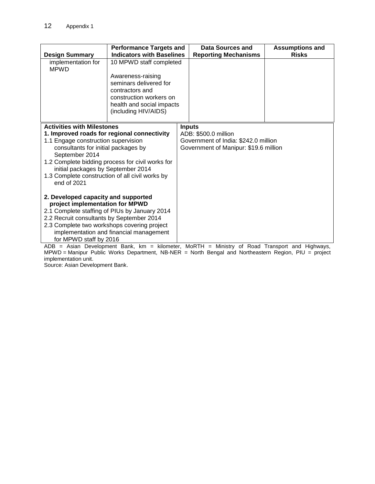| <b>Design Summary</b>                                                                                                                                                                                                                                                                                                                        | <b>Performance Targets and</b><br><b>Indicators with Baselines</b>                                                                                                        | Data Sources and<br><b>Reporting Mechanisms</b>                                                                        | <b>Assumptions and</b><br><b>Risks</b> |
|----------------------------------------------------------------------------------------------------------------------------------------------------------------------------------------------------------------------------------------------------------------------------------------------------------------------------------------------|---------------------------------------------------------------------------------------------------------------------------------------------------------------------------|------------------------------------------------------------------------------------------------------------------------|----------------------------------------|
| implementation for<br><b>MPWD</b>                                                                                                                                                                                                                                                                                                            | 10 MPWD staff completed<br>Awareness-raising<br>seminars delivered for<br>contractors and<br>construction workers on<br>health and social impacts<br>(including HIV/AIDS) |                                                                                                                        |                                        |
| <b>Activities with Milestones</b><br>1. Improved roads for regional connectivity<br>1.1 Engage construction supervision<br>consultants for initial packages by<br>September 2014<br>1.2 Complete bidding process for civil works for<br>initial packages by September 2014<br>1.3 Complete construction of all civil works by<br>end of 2021 |                                                                                                                                                                           | <b>Inputs</b><br>ADB: \$500.0 million<br>Government of India: \$242.0 million<br>Government of Manipur: \$19.6 million |                                        |
| 2. Developed capacity and supported<br>project implementation for MPWD<br>2.2 Recruit consultants by September 2014<br>2.3 Complete two workshops covering project<br>for MPWD staff by 2016                                                                                                                                                 | 2.1 Complete staffing of PIUs by January 2014<br>implementation and financial management                                                                                  | ADB = Asian Development Bank, km = kilometer, MoRTH = Ministry of Road Transport and Highways,                         |                                        |

MPWD = Manipur Public Works Department, NB-NER = North Bengal and Northeastern Region, PIU = project implementation unit.

Source: Asian Development Bank.